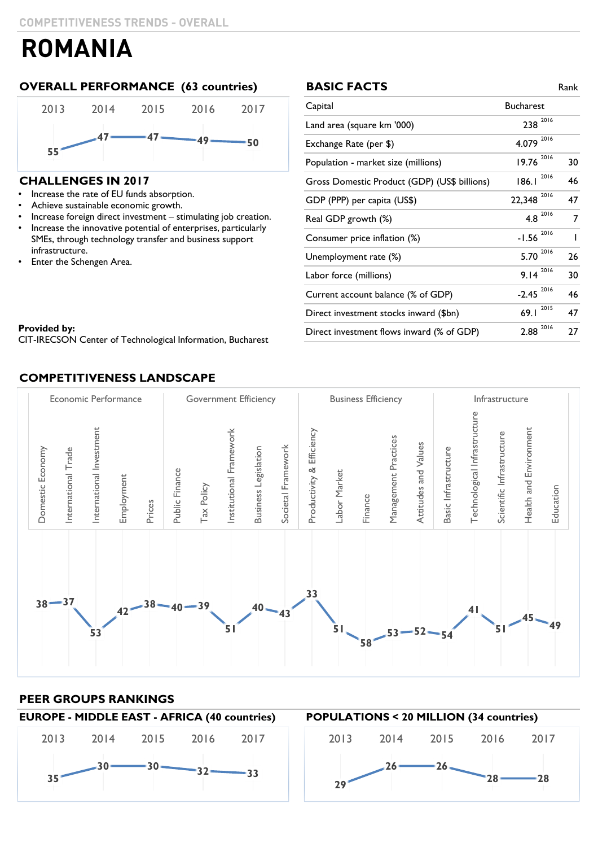### **OVERALL PERFORMANCE (63 countries) BASIC FACTS** Rank



### **CHALLENGES IN 2017**

- Increase the rate of EU funds absorption.
- Achieve sustainable economic growth.
- Increase foreign direct investment stimulating job creation.
- Increase the innovative potential of enterprises, particularly SMEs, through technology transfer and business support infrastructure.
- Enter the Schengen Area.

| <b>BASIC FACTS</b>                           |                     | Rank           |
|----------------------------------------------|---------------------|----------------|
| Capital                                      | <b>Bucharest</b>    |                |
| Land area (square km '000)                   | 238 2016            |                |
| Exchange Rate (per \$)                       | 2016<br>4.079       |                |
| Population - market size (millions)          | 2016<br>19.76       | 30             |
| Gross Domestic Product (GDP) (US\$ billions) | 2016<br>186.1       | 46             |
| GDP (PPP) per capita (US\$)                  | 2016<br>22,348      | 47             |
| Real GDP growth (%)                          | $4.8 \space^{2016}$ | $\overline{7}$ |
| Consumer price inflation (%)                 | 2016<br>$-1.56$     | $\overline{1}$ |
| Unemployment rate (%)                        | 2016<br>5.70        | 26             |
| Labor force (millions)                       | $9.14^{2016}$       | 30             |
| Current account balance (% of GDP)           | 2016<br>$-2.45$     | 46             |
| Direct investment stocks inward (\$bn)       | 2015<br>69.1        | 47             |
| Direct investment flows inward (% of GDP)    | 2016<br>2.88        | 27             |

#### **Provided by:**  $\blacksquare$ CIT-IRECSON Center of Technological Information, Bucharest

### **COMPETITIVENESS LANDSCAPE**



### **PEER GROUPS RANKINGS**

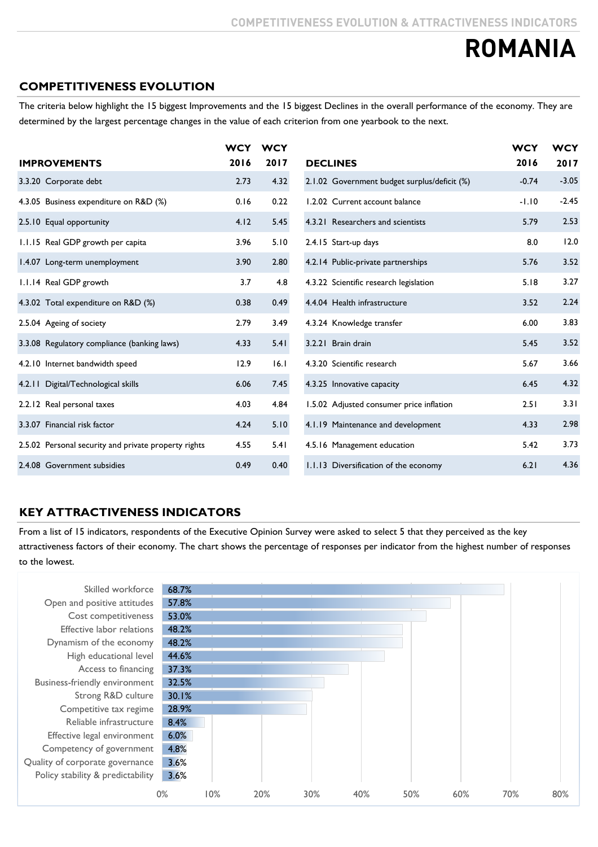### **COMPETITIVENESS EVOLUTION**

The criteria below highlight the 15 biggest Improvements and the 15 biggest Declines in the overall performance of the economy. They are determined by the largest percentage changes in the value of each criterion from one yearbook to the next.

|                                                      | <b>WCY</b> | <b>WCY</b> |                                              | <b>WCY</b> | <b>WCY</b> |
|------------------------------------------------------|------------|------------|----------------------------------------------|------------|------------|
| <b>IMPROVEMENTS</b>                                  | 2016       | 2017       | <b>DECLINES</b>                              | 2016       | 2017       |
| 3.3.20 Corporate debt                                | 2.73       | 4.32       | 2.1.02 Government budget surplus/deficit (%) | $-0.74$    | $-3.05$    |
| 4.3.05 Business expenditure on R&D (%)               | 0.16       | 0.22       | 1.2.02 Current account balance               | $-1.10$    | $-2.45$    |
| 2.5.10 Equal opportunity                             | 4.12       | 5.45       | 4.3.21 Researchers and scientists            | 5.79       | 2.53       |
| 1.1.15 Real GDP growth per capita                    | 3.96       | 5.10       | 2.4.15 Start-up days                         | 8.0        | 12.0       |
| 1.4.07 Long-term unemployment                        | 3.90       | 2.80       | 4.2.14 Public-private partnerships           | 5.76       | 3.52       |
| 1.1.14 Real GDP growth                               | 3.7        | 4.8        | 4.3.22 Scientific research legislation       | 5.18       | 3.27       |
| 4.3.02 Total expenditure on R&D (%)                  | 0.38       | 0.49       | 4.4.04 Health infrastructure                 | 3.52       | 2.24       |
| 2.5.04 Ageing of society                             | 2.79       | 3.49       | 4.3.24 Knowledge transfer                    | 6.00       | 3.83       |
| 3.3.08 Regulatory compliance (banking laws)          | 4.33       | 5.41       | 3.2.21 Brain drain                           | 5.45       | 3.52       |
| 4.2.10 Internet bandwidth speed                      | 12.9       | 16.1       | 4.3.20 Scientific research                   | 5.67       | 3.66       |
| 4.2.11 Digital/Technological skills                  | 6.06       | 7.45       | 4.3.25 Innovative capacity                   | 6.45       | 4.32       |
| 2.2.12 Real personal taxes                           | 4.03       | 4.84       | 1.5.02 Adjusted consumer price inflation     | 2.51       | 3.31       |
| 3.3.07 Financial risk factor                         | 4.24       | 5.10       | 4.1.19 Maintenance and development           | 4.33       | 2.98       |
| 2.5.02 Personal security and private property rights | 4.55       | 5.41       | 4.5.16 Management education                  | 5.42       | 3.73       |
| 2.4.08 Government subsidies                          | 0.49       | 0.40       | 1.1.13 Diversification of the economy        | 6.21       | 4.36       |

### **KEY ATTRACTIVENESS INDICATORS**

From a list of 15 indicators, respondents of the Executive Opinion Survey were asked to select 5 that they perceived as the key attractiveness factors of their economy. The chart shows the percentage of responses per indicator from the highest number of responses to the lowest.

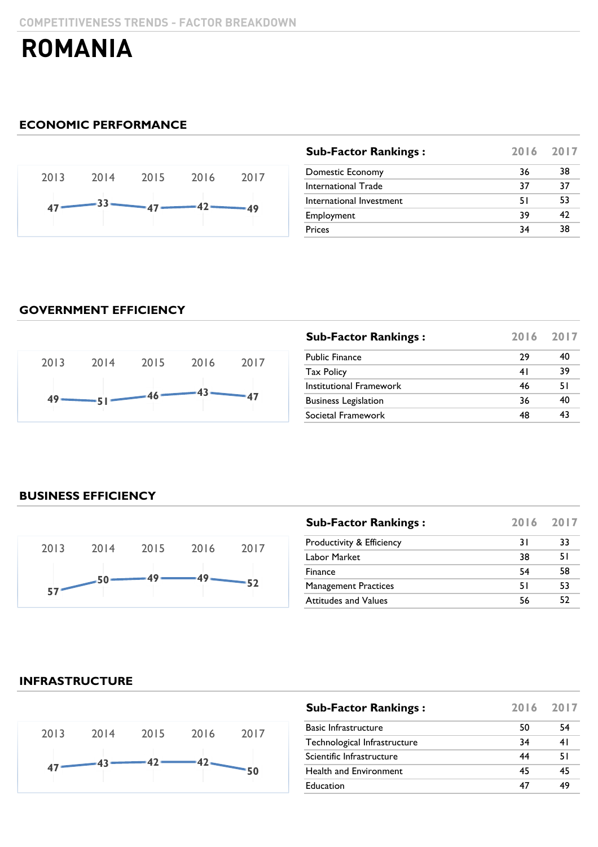### **ECONOMIC PERFORMANCE**



| 38 |
|----|
| 37 |
| 53 |
| 47 |
| 38 |
|    |

### **GOVERNMENT EFFICIENCY**



| <b>Sub-Factor Rankings:</b> |    | 2016 2017 |
|-----------------------------|----|-----------|
| <b>Public Finance</b>       | 29 | 40        |
| <b>Tax Policy</b>           | 41 | 39        |
| Institutional Framework     | 46 | 51        |
| <b>Business Legislation</b> | 36 | 40        |
| Societal Framework          | 48 | 43        |

### **BUSINESS EFFICIENCY**



| <b>Sub-Factor Rankings:</b> | 2016 2017 |    |
|-----------------------------|-----------|----|
| Productivity & Efficiency   | 31        | 33 |
| Labor Market                | 38        | 51 |
| Finance                     | 54        | 58 |
| <b>Management Practices</b> | 51        | 53 |
| <b>Attitudes and Values</b> | 56        | 52 |

### **INFRASTRUCTURE**



| <b>Sub-Factor Rankings:</b>  | 2016 2017 |    |
|------------------------------|-----------|----|
| <b>Basic Infrastructure</b>  | 50        | 54 |
| Technological Infrastructure | 34        | 41 |
| Scientific Infrastructure    | 44        | 51 |
| Health and Environment       | 45        | 45 |
| Education                    | 47        | 49 |